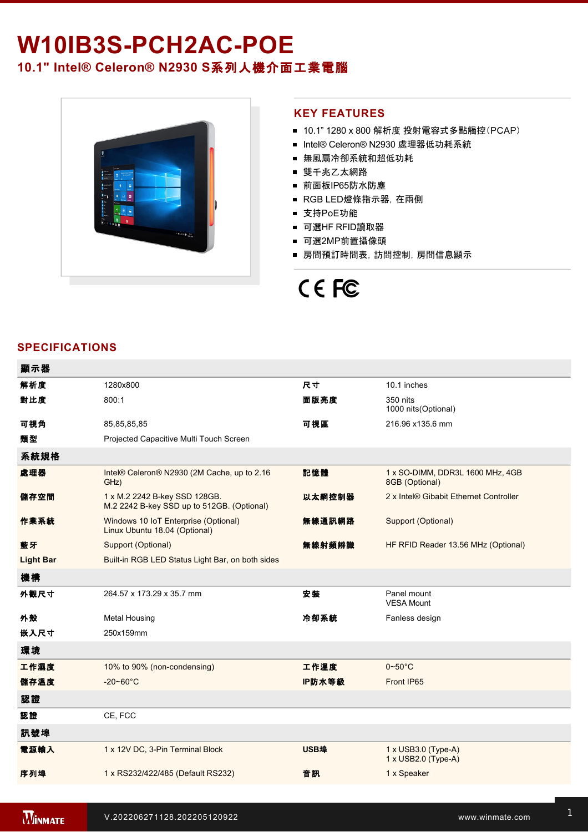# W10IB3S-PCH2AC-POE **10.1" Intel® Celeron® N2930 S**系列人機介面工業電腦



### **KEY FEATURES**

- 10.1" 1280 x 800 解析度 投射電容式多點觸控(PCAP)
- Intel® Celeron® N2930 處理器低功耗系統
- 無風扇冷卻系統和超低功耗
- 雙千兆乙太網路
- 前面板IP65防水防塵
- RGB LED燈條指示器, 在兩側
- 支持PoE功能
- 可選HF RFID讀取器
- 可選2MP前置攝像頭
- 房間預訂時間表,訪問控制,房間信息顯示

# CE FC

# **SPECIFICATIONS**

| 顯示器              |                                                                             |        |                                                    |
|------------------|-----------------------------------------------------------------------------|--------|----------------------------------------------------|
| 解析度              | 1280x800                                                                    | 尺寸     | 10.1 inches                                        |
| 對比度              | 800:1                                                                       | 面版亮度   | 350 nits<br>1000 nits (Optional)                   |
| 可視角              | 85, 85, 85, 85                                                              | 可視區    | 216.96 x135.6 mm                                   |
| 類型               | Projected Capacitive Multi Touch Screen                                     |        |                                                    |
| 系統規格             |                                                                             |        |                                                    |
| 處理器              | Intel® Celeron® N2930 (2M Cache, up to 2.16<br>GHz)                         | 記憶體    | 1 x SO-DIMM, DDR3L 1600 MHz, 4GB<br>8GB (Optional) |
| 儲存空間             | 1 x M.2 2242 B-key SSD 128GB.<br>M.2 2242 B-key SSD up to 512GB. (Optional) | 以太網控制器 | 2 x Intel® Gibabit Ethernet Controller             |
| 作業系統             | Windows 10 IoT Enterprise (Optional)<br>Linux Ubuntu 18.04 (Optional)       | 無線通訊網路 | Support (Optional)                                 |
| 藍牙               | Support (Optional)                                                          | 無線射頻辨識 | HF RFID Reader 13.56 MHz (Optional)                |
| <b>Light Bar</b> | Built-in RGB LED Status Light Bar, on both sides                            |        |                                                    |
| 機構               |                                                                             |        |                                                    |
| 外觀尺寸             | 264.57 x 173.29 x 35.7 mm                                                   | 安裝     | Panel mount<br><b>VESA Mount</b>                   |
| 外殼               | <b>Metal Housing</b>                                                        | 冷卻系統   | Fanless design                                     |
| 嵌入尺寸             | 250x159mm                                                                   |        |                                                    |
| 環境               |                                                                             |        |                                                    |
| 工作濕度             | 10% to 90% (non-condensing)                                                 | 工作溫度   | $0 - 50$ °C                                        |
| 儲存溫度             | $-20 - 60^{\circ}C$                                                         | IP防水等級 | Front IP65                                         |
| 認證               |                                                                             |        |                                                    |
| 認證               | CE, FCC                                                                     |        |                                                    |
| 訊號埠              |                                                                             |        |                                                    |
| 電源輸入             | 1 x 12V DC, 3-Pin Terminal Block                                            | USB埠   | 1 x USB3.0 (Type-A)<br>1 x USB2.0 (Type-A)         |
| 序列埠              | 1 x RS232/422/485 (Default RS232)                                           | 音訊     | 1 x Speaker                                        |
|                  |                                                                             |        |                                                    |

ent 100~240V AC to DC Adapter 2000 AC to DC Adapter 2000 AC to DC Adapter 2000 AC to DC Adapter 2000 AC to DC A

 $\mathbb{R}^2$  wall  $\mathbb{R}^2$  wall  $\mathbb{R}^2$  wall  $\mathbb{R}^2$  wall  $\mathbb{R}^2$  wall  $\mathbb{R}^2$  wall  $\mathbb{R}^2$  wall  $\mathbb{R}^2$